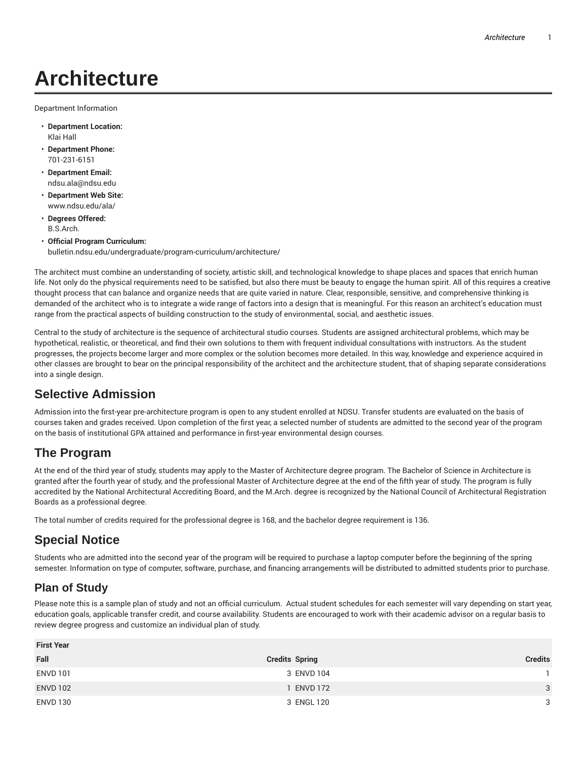# **Architecture**

Department Information

- **Department Location:** Klai Hall
- **Department Phone:** 701-231-6151
- **Department Email:** ndsu.ala@ndsu.edu
- **Department Web Site:** www.ndsu.edu/ala/
- **Degrees Offered:** B.S.Arch.
- **Official Program Curriculum:** bulletin.ndsu.edu/undergraduate/program-curriculum/architecture/

The architect must combine an understanding of society, artistic skill, and technological knowledge to shape places and spaces that enrich human life. Not only do the physical requirements need to be satisfied, but also there must be beauty to engage the human spirit. All of this requires a creative thought process that can balance and organize needs that are quite varied in nature. Clear, responsible, sensitive, and comprehensive thinking is demanded of the architect who is to integrate a wide range of factors into a design that is meaningful. For this reason an architect's education must range from the practical aspects of building construction to the study of environmental, social, and aesthetic issues.

Central to the study of architecture is the sequence of architectural studio courses. Students are assigned architectural problems, which may be hypothetical, realistic, or theoretical, and find their own solutions to them with frequent individual consultations with instructors. As the student progresses, the projects become larger and more complex or the solution becomes more detailed. In this way, knowledge and experience acquired in other classes are brought to bear on the principal responsibility of the architect and the architecture student, that of shaping separate considerations into a single design.

### **Selective Admission**

Admission into the first-year pre-architecture program is open to any student enrolled at NDSU. Transfer students are evaluated on the basis of courses taken and grades received. Upon completion of the first year, a selected number of students are admitted to the second year of the program on the basis of institutional GPA attained and performance in first-year environmental design courses.

## **The Program**

At the end of the third year of study, students may apply to the Master of Architecture degree program. The Bachelor of Science in Architecture is granted after the fourth year of study, and the professional Master of Architecture degree at the end of the fifth year of study. The program is fully accredited by the National Architectural Accrediting Board, and the M.Arch. degree is recognized by the National Council of Architectural Registration Boards as a professional degree.

The total number of credits required for the professional degree is 168, and the bachelor degree requirement is 136.

## **Special Notice**

Students who are admitted into the second year of the program will be required to purchase a laptop computer before the beginning of the spring semester. Information on type of computer, software, purchase, and financing arrangements will be distributed to admitted students prior to purchase.

### **Plan of Study**

Please note this is a sample plan of study and not an official curriculum. Actual student schedules for each semester will vary depending on start year, education goals, applicable transfer credit, and course availability. Students are encouraged to work with their academic advisor on a regular basis to review degree progress and customize an individual plan of study.

| <b>Credits Spring</b> | <b>Credits</b> |
|-----------------------|----------------|
| 3 ENVD 104            |                |
| ENVD 172              | 3              |
| 3 ENGL 120            | 3              |
|                       |                |